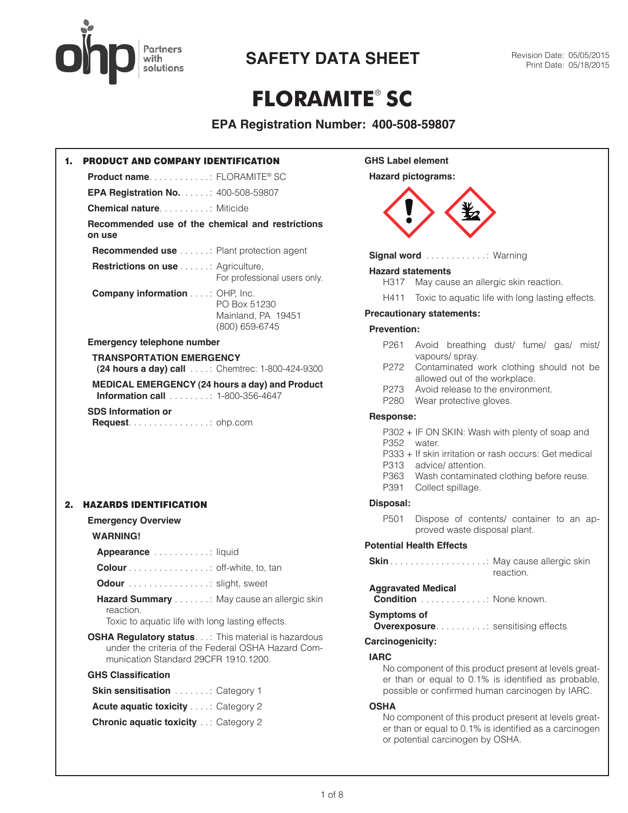

# **FLORAMITE**® **SC**

### **EPA Registration Number: 400-508-59807**

| 1. | <b>PRODUCT AND COMPANY IDENTIFICATION</b>                                                                                                                 |
|----|-----------------------------------------------------------------------------------------------------------------------------------------------------------|
|    | Product name: FLORAMITE® SC                                                                                                                               |
|    | <b>EPA Registration No.</b> 400-508-59807                                                                                                                 |
|    | <b>Chemical nature container and Miticide</b>                                                                                                             |
|    | Recommended use of the chemical and restrictions<br>on use                                                                                                |
|    | <b>Recommended use</b> Plant protection agent                                                                                                             |
|    | <b>Restrictions on use </b> : Agriculture,<br>For professional users only.                                                                                |
|    | <b>Company information : OHP, Inc.</b><br>PO Box 51230<br>Mainland, PA 19451<br>(800) 659-6745                                                            |
|    | <b>Emergency telephone number</b>                                                                                                                         |
|    | <b>TRANSPORTATION EMERGENCY</b>                                                                                                                           |
|    | (24 hours a day) call : Chemtrec: 1-800-424-9300                                                                                                          |
|    | MEDICAL EMERGENCY (24 hours a day) and Product<br><b>Information call</b> 1-800-356-4647                                                                  |
|    | <b>SDS Information or</b><br><b>Request</b> $\ldots$ $\ldots$ $\ldots$ $\ldots$ $\ldots$ ohp.com                                                          |
| 2. | <b>HAZARDS IDENTIFICATION</b>                                                                                                                             |
|    | <b>Emergency Overview</b>                                                                                                                                 |
|    | <b>WARNING!</b>                                                                                                                                           |
|    | Appearance liquid                                                                                                                                         |
|    | <b>Colour</b> off-white, to, tan                                                                                                                          |
|    | Odour Slight, sweet                                                                                                                                       |
|    | Hazard Summary May cause an allergic skin<br>reaction.                                                                                                    |
|    | Toxic to aquatic life with long lasting effects.                                                                                                          |
|    | <b>OSHA Regulatory status.</b> : This material is hazardous<br>under the criteria of the Federal OSHA Hazard Com-<br>munication Standard 29CFR 1910.1200. |
|    | <b>GHS Classification</b>                                                                                                                                 |
|    | <b>Skin sensitisation</b> : Category 1                                                                                                                    |
|    | <b>Acute aquatic toxicity : Category 2</b>                                                                                                                |
|    | <b>Chronic aquatic toxicity  Category 2</b>                                                                                                               |
|    |                                                                                                                                                           |

#### **GHS Label element**

#### **Hazard pictograms:**



**Signal word** . . . . . . . . . . . . Warning

#### **Hazard statements**

- H317 May cause an allergic skin reaction.
- H411 Toxic to aquatic life with long lasting effects.

#### **Precautionary statements:**

#### **Prevention:**

- P261 Avoid breathing dust/ fume/ gas/ mist/ vapours/ spray.
- P272 Contaminated work clothing should not be allowed out of the workplace.
- P273 Avoid release to the environment.
- P280 Wear protective gloves.

#### **Response:**

- P302 + IF ON SKIN: Wash with plenty of soap and P352 water.
- P333 + If skin irritation or rash occurs: Get medical
- P313 advice/ attention.
- P363 Wash contaminated clothing before reuse.
- P391 Collect spillage.

#### **Disposal:**

P501 Dispose of contents/ container to an approved waste disposal plant.

#### **Potential Health Effects**

| reaction. |
|-----------|

#### **Aggravated Medical**

**Condition** . . . . . . . . . . . . : None known.

#### **Symptoms of**

**Overexposure . . . . . . . . . . : sensitising effects** 

#### **Carcinogenicity:**

#### **IARC**

No component of this product present at levels greater than or equal to 0.1% is identified as probable, possible or confirmed human carcinogen by IARC.

#### **OSHA**

No component of this product present at levels greater than or equal to 0.1% is identified as a carcinogen or potential carcinogen by OSHA.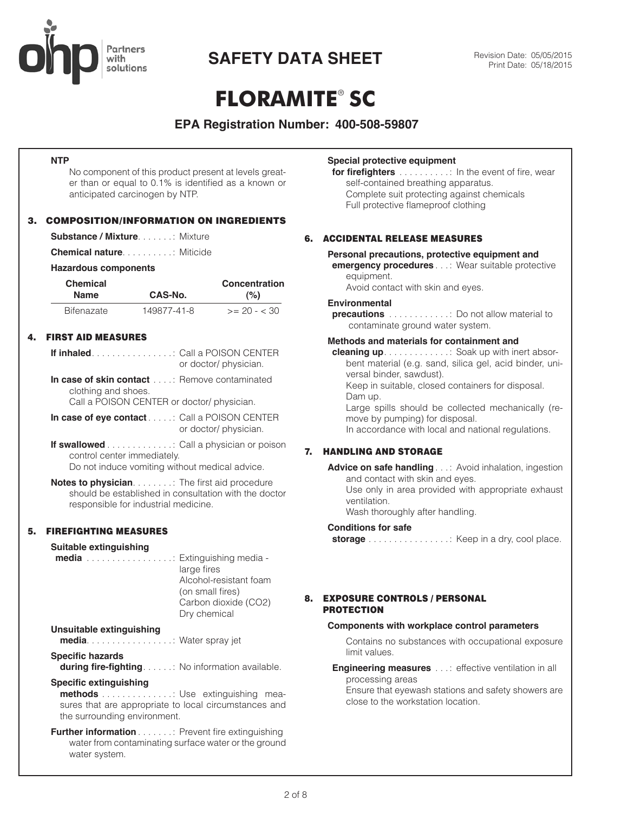

# **FLORAMITE**® **SC**

### **EPA Registration Number: 400-508-59807**

#### **NTP**

No component of this product present at levels greater than or equal to 0.1% is identified as a known or anticipated carcinogen by NTP.

#### 3. COMPOSITION/INFORMATION ON INGREDIENTS

**Substance / Mixture** . . . . . . : Mixture

**Chemical nature** . . . . . . . . . : Miticide

#### **Hazardous components**

| <b>Chemical</b>   |             | Concentration  |  |
|-------------------|-------------|----------------|--|
| <b>Name</b>       | CAS-No.     | (%)            |  |
| <b>Bifenazate</b> | 149877-41-8 | $>= 20 - < 30$ |  |

#### 4. FIRST AID MEASURES

| or doctor/ physician. |
|-----------------------|

**In case of skin contact** . . . : Remove contaminated clothing and shoes.

Call a POISON CENTER or doctor/ physician.

- **In case of eye contact** . . . . : Call a POISON CENTER or doctor/ physician.
- **If swallowed** . . . . . . . . . . . . : Call a physician or poison control center immediately. Do not induce vomiting without medical advice.

**Notes to physician** . . . . . . . : The first aid procedure should be established in consultation with the doctor responsible for industrial medicine.

#### 5. FIREFIGHTING MEASURES

| <b>Suitable extinguishing</b><br><b>media</b> Extinguishing media -                                                                                      | large fires<br>Alcohol-resistant foam<br>(on small fires)<br>Carbon dioxide (CO2)<br>Dry chemical |
|----------------------------------------------------------------------------------------------------------------------------------------------------------|---------------------------------------------------------------------------------------------------|
| <b>Unsuitable extinguishing</b><br><b>media</b> Water spray jet                                                                                          |                                                                                                   |
| <b>Specific hazards</b><br><b>during fire-fighting</b> No information available.                                                                         |                                                                                                   |
| Specific extinguishing<br><b>methods</b> Use extinguishing mea-<br>sures that are appropriate to local circumstances and<br>the surrounding environment. |                                                                                                   |
|                                                                                                                                                          |                                                                                                   |

**Further information** . . . . . . . : Prevent fire extinguishing water from contaminating surface water or the ground water system.

#### **Special protective equipment**

**for firefighters** . . . . . . . . . : In the event of fire, wear self-contained breathing apparatus. Complete suit protecting against chemicals Full protective flameproof clothing

#### 6. ACCIDENTAL RELEASE MEASURES

#### **Personal precautions, protective equipment and emergency procedures** . . : Wear suitable protective

equipment.

Avoid contact with skin and eyes.

#### **Environmental**

**precautions** . . . . . . . . . . . . . Do not allow material to contaminate ground water system.

#### **Methods and materials for containment and**

**cleaning up** . . . . . . . . . . . . : Soak up with inert absorbent material (e.g. sand, silica gel, acid binder, universal binder, sawdust).

Keep in suitable, closed containers for disposal. Dam up.

Large spills should be collected mechanically (remove by pumping) for disposal.

In accordance with local and national regulations.

#### 7. HANDLING AND STORAGE

**Advice on safe handling** . . : Avoid inhalation, ingestion and contact with skin and eyes. Use only in area provided with appropriate exhaust ventilation.

Wash thoroughly after handling.

#### **Conditions for safe**

**storage** . . . . . . . . . . . . . . . : Keep in a dry, cool place.

#### 8. EXPOSURE CONTROLS / PERSONAL PROTECTION

#### **Components with workplace control parameters**

Contains no substances with occupational exposure limit values.

#### **Engineering measures** . . .: effective ventilation in all processing areas

Ensure that eyewash stations and safety showers are close to the workstation location.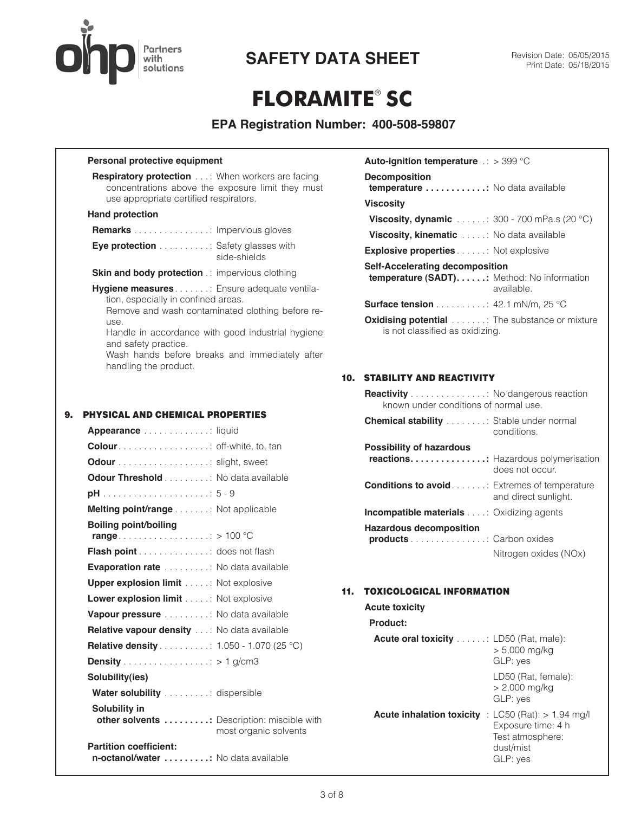

## **FLORAMITE**® **SC**

### **EPA Registration Number: 400-508-59807**

#### **Personal protective equipment**

**Respiratory protection** . . : When workers are facing concentrations above the exposure limit they must use appropriate certified respirators.

#### **Hand protection**

| <b>Remarks</b> Impervious gloves |  |  |
|----------------------------------|--|--|
|----------------------------------|--|--|

| <b>Eye protection</b> Safety glasses with |              |
|-------------------------------------------|--------------|
|                                           | side-shields |

**Skin and body protection** .: impervious clothing

**Hygiene measures** . . . . . . : Ensure adequate ventilation, especially in confined areas. Remove and wash contaminated clothing before reuse.

Handle in accordance with good industrial hygiene and safety practice.

Wash hands before breaks and immediately after handling the product.

#### 9. PHYSICAL AND CHEMICAL PROPERTIES

| <b>Appearance</b> liquid                                                              |
|---------------------------------------------------------------------------------------|
|                                                                                       |
| <b>Odour</b> slight, sweet                                                            |
| <b>Odour Threshold</b> No data available                                              |
|                                                                                       |
| Melting point/range Not applicable                                                    |
| Boiling point/boiling                                                                 |
| <b>Flash point</b> does not flash                                                     |
| <b>Evaporation rate</b> No data available                                             |
| <b>Upper explosion limit</b> Not explosive                                            |
| <b>Lower explosion limit</b> : Not explosive                                          |
| Vapour pressure No data available                                                     |
| <b>Relative vapour density</b> : No data available                                    |
| <b>Relative density</b> 1.050 - 1.070 (25 °C)                                         |
|                                                                                       |
| Solubility(ies)                                                                       |
| Water solubility dispersible                                                          |
| Solubility in<br>other solvents : Description: miscible with<br>most organic solvents |
| <b>Partition coefficient:</b><br>n-octanol/water No data available                    |

| <b>Auto-ignition temperature</b> $\therefore$ > 399 °C                                      |            |
|---------------------------------------------------------------------------------------------|------------|
| <b>Decomposition</b><br><b>temperature</b> No data available                                |            |
| <b>Viscosity</b>                                                                            |            |
| <b>Viscosity, dynamic</b> : 300 - 700 mPa.s (20 °C)                                         |            |
| <b>Viscosity, kinematic</b> No data available                                               |            |
| <b>Explosive properties</b> Not explosive                                                   |            |
| <b>Self-Accelerating decomposition</b><br><b>temperature (SADT):</b> Method: No information | available. |
| <b>Surface tension</b> $\ldots \ldots \ldots$ 42.1 mN/m, 25 °C                              |            |
| <b>Oxidising potential</b> The substance or mixture<br>is not classified as oxidizing.      |            |

### 10. STABILITY AND REACTIVITY

| <b>Reactivity</b> No dangerous reaction<br>known under conditions of normal use. |                       |
|----------------------------------------------------------------------------------|-----------------------|
| <b>Chemical stability</b> Stable under normal                                    | conditions.           |
| <b>Possibility of hazardous</b>                                                  |                       |
| <b>reactions:</b> Hazardous polymerisation                                       | does not occur.       |
| <b>Conditions to avoid</b> Extremes of temperature                               | and direct sunlight.  |
| <b>Incompatible materials</b> : Oxidizing agents                                 |                       |
| <b>Hazardous decomposition</b>                                                   |                       |
| <b>products</b> Carbon oxides                                                    |                       |
|                                                                                  | Nitrogen oxides (NOx) |

#### 11. TOXICOLOGICAL INFORMATION

| <b>Acute toxicity</b>                                          |                                                                                                |
|----------------------------------------------------------------|------------------------------------------------------------------------------------------------|
| Product:                                                       |                                                                                                |
| <b>Acute oral toxicity</b> $\ldots$ $\ldots$ LD50 (Rat, male): | $> 5,000$ mg/kg<br>GLP: yes                                                                    |
|                                                                | LD50 (Rat, female):<br>> 2,000 mg/kg<br>GLP: yes                                               |
| <b>Acute inhalation toxicity</b>                               | : LC50 (Rat): $> 1.94$ mg/l<br>Exposure time: 4 h<br>Test atmosphere:<br>dust/mist<br>GLP: yes |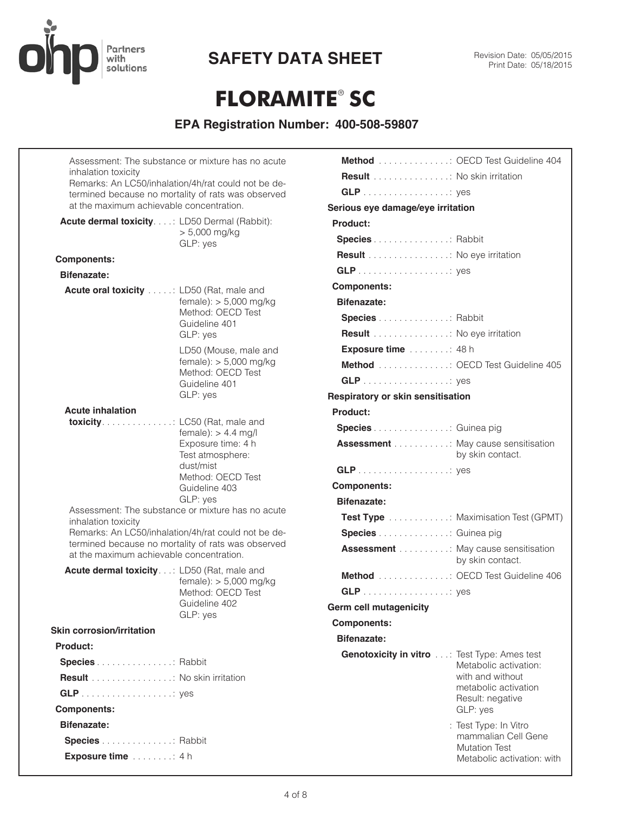

## **FLORAMITE**® **SC**

| Assessment: The substance or mixture has no acute<br>inhalation toxicity<br>Remarks: An LC50/inhalation/4h/rat could not be de-<br>termined because no mortality of rats was observed<br>at the maximum achievable concentration. |                                                                                                                                |    |
|-----------------------------------------------------------------------------------------------------------------------------------------------------------------------------------------------------------------------------------|--------------------------------------------------------------------------------------------------------------------------------|----|
| Acute dermal toxicity.: LD50 Dermal (Rabbit):                                                                                                                                                                                     | $> 5,000$ mg/kg<br>GLP: yes                                                                                                    | P  |
| <b>Components:</b>                                                                                                                                                                                                                |                                                                                                                                |    |
| <b>Bifenazate:</b><br>Acute oral toxicity : LD50 (Rat, male and                                                                                                                                                                   |                                                                                                                                | C  |
|                                                                                                                                                                                                                                   | $female):$ > 5,000 mg/kg<br>Method: OECD Test<br>Guideline 401<br>GLP: yes                                                     |    |
|                                                                                                                                                                                                                                   | LD50 (Mouse, male and<br>$female):$ > 5,000 mg/kg<br>Method: OECD Test<br>Guideline 401<br>GLP: yes                            | Re |
| <b>Acute inhalation</b>                                                                                                                                                                                                           |                                                                                                                                | P  |
| <b>toxicity</b> LC50 (Rat, male and                                                                                                                                                                                               | $female):$ > 4.4 mg/l<br>Exposure time: 4 h<br>Test atmosphere:<br>dust/mist<br>Method: OECD Test<br>Guideline 403<br>GLP: yes | C  |
| Assessment: The substance or mixture has no acute<br>inhalation toxicity<br>Remarks: An LC50/inhalation/4h/rat could not be de-<br>termined because no mortality of rats was observed<br>at the maximum achievable concentration. |                                                                                                                                |    |
| Acute dermal toxicity: LD50 (Rat, male and                                                                                                                                                                                        | $female):$ > 5,000 mg/kg<br>Method: OECD Test<br>Guideline 402                                                                 | Gε |
| <b>Skin corrosion/irritation</b>                                                                                                                                                                                                  | GLP: yes                                                                                                                       | C  |
| Product:                                                                                                                                                                                                                          |                                                                                                                                |    |
| <b>Species</b> Rabbit                                                                                                                                                                                                             |                                                                                                                                |    |
| <b>Result</b> No skin irritation                                                                                                                                                                                                  |                                                                                                                                |    |
|                                                                                                                                                                                                                                   |                                                                                                                                |    |
| <b>Components:</b>                                                                                                                                                                                                                |                                                                                                                                |    |
| <b>Bifenazate:</b>                                                                                                                                                                                                                |                                                                                                                                |    |
| Species Rabbit<br>Exposure time 4 h                                                                                                                                                                                               |                                                                                                                                |    |

| <b>Method</b> OECD Test Guideline 404               |                                                                                                    |
|-----------------------------------------------------|----------------------------------------------------------------------------------------------------|
| <b>Result</b> No skin irritation                    |                                                                                                    |
|                                                     |                                                                                                    |
| Serious eye damage/eye irritation                   |                                                                                                    |
| Product:                                            |                                                                                                    |
| <b>Species</b> Rabbit                               |                                                                                                    |
| Result : No eye irritation                          |                                                                                                    |
|                                                     |                                                                                                    |
| <b>Components:</b>                                  |                                                                                                    |
| <b>Bifenazate:</b>                                  |                                                                                                    |
| <b>Species</b> Rabbit                               |                                                                                                    |
| Result : No eye irritation                          |                                                                                                    |
| Exposure time 48 h                                  |                                                                                                    |
| Method : OECD Test Guideline 405                    |                                                                                                    |
|                                                     |                                                                                                    |
| Respiratory or skin sensitisation                   |                                                                                                    |
| <b>Product:</b>                                     |                                                                                                    |
| Species Guinea pig                                  |                                                                                                    |
| <b>Assessment</b> May cause sensitisation           | by skin contact.                                                                                   |
|                                                     |                                                                                                    |
| <b>Components:</b>                                  |                                                                                                    |
| <b>Bifenazate:</b>                                  |                                                                                                    |
|                                                     | <b>Test Type</b> Maximisation Test (GPMT)                                                          |
| <b>Species</b> Guinea pig                           |                                                                                                    |
| <b>Assessment</b> May cause sensitisation           | by skin contact.                                                                                   |
| <b>Method</b> OECD Test Guideline 406               |                                                                                                    |
|                                                     |                                                                                                    |
| Germ cell mutagenicity                              |                                                                                                    |
| <b>Components:</b>                                  |                                                                                                    |
| <b>Bifenazate:</b>                                  |                                                                                                    |
| <b>Genotoxicity in vitro</b> : Test Type: Ames test | Metabolic activation:<br>with and without<br>metabolic activation<br>Result: negative<br>GLP: yes  |
|                                                     | : Test Type: In Vitro<br>mammalian Cell Gene<br><b>Mutation Test</b><br>Metabolic activation: with |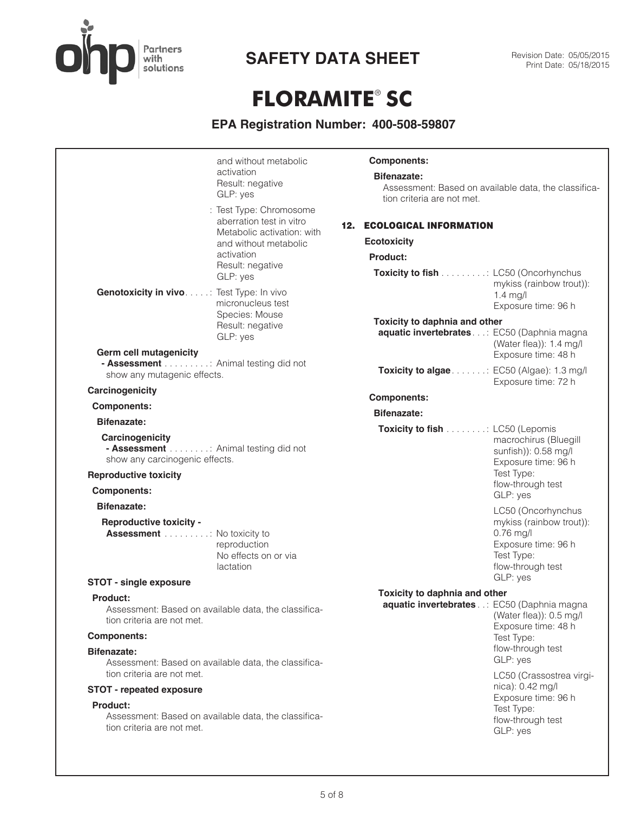

# **FLORAMITE**® **SC**

| and without metabolic<br>activation<br>Result: negative<br>GLP: yes<br>: Test Type: Chromosome<br>aberration test in vitro<br>Metabolic activation: with<br>and without metabolic<br>activation<br>Result: negative<br>GLP: yes | <b>Components:</b><br><b>Bifenazate:</b><br>tion criteria are not met.<br><b>12. ECOLOGICAL INFORMATION</b><br><b>Ecotoxicity</b><br>Product:<br>Toxicity to fish : LC50 (Oncorhynchus | Assessment: Based on available data, the classifica-                                                                                |
|---------------------------------------------------------------------------------------------------------------------------------------------------------------------------------------------------------------------------------|----------------------------------------------------------------------------------------------------------------------------------------------------------------------------------------|-------------------------------------------------------------------------------------------------------------------------------------|
| Genotoxicity in vivo. : Test Type: In vivo<br>micronucleus test<br>Species: Mouse<br>Result: negative<br>GLP: yes<br><b>Germ cell mutagenicity</b><br>- Assessment : Animal testing did not                                     | Toxicity to daphnia and other<br>aquatic invertebrates: EC50 (Daphnia magna<br>Toxicity to algae: EC50 (Algae): 1.3 mg/l                                                               | mykiss (rainbow trout)):<br>$1.4$ mg/l<br>Exposure time: 96 h<br>(Water flea)): $1.4 \text{ mg/l}$<br>Exposure time: 48 h           |
| show any mutagenic effects.<br>Carcinogenicity                                                                                                                                                                                  |                                                                                                                                                                                        | Exposure time: 72 h                                                                                                                 |
| <b>Components:</b>                                                                                                                                                                                                              | <b>Components:</b>                                                                                                                                                                     |                                                                                                                                     |
| Bifenazate:                                                                                                                                                                                                                     | <b>Bifenazate:</b>                                                                                                                                                                     |                                                                                                                                     |
| Carcinogenicity<br>- Assessment Animal testing did not<br>show any carcinogenic effects.<br><b>Reproductive toxicity</b>                                                                                                        | Toxicity to fish : LC50 (Lepomis                                                                                                                                                       | macrochirus (Bluegill<br>sunfish)): 0.58 mg/l<br>Exposure time: 96 h<br>Test Type:<br>flow-through test                             |
| <b>Components:</b>                                                                                                                                                                                                              |                                                                                                                                                                                        | GLP: yes                                                                                                                            |
| <b>Bifenazate:</b><br><b>Reproductive toxicity -</b><br><b>Assessment</b> No toxicity to<br>reproduction<br>No effects on or via<br>lactation<br><b>STOT - single exposure</b>                                                  |                                                                                                                                                                                        | LC50 (Oncorhynchus<br>mykiss (rainbow trout)):<br>$0.76$ mg/l<br>Exposure time: 96 h<br>Test Type:<br>flow-through test<br>GLP: yes |
| <b>Product:</b>                                                                                                                                                                                                                 | Toxicity to daphnia and other                                                                                                                                                          |                                                                                                                                     |
| Assessment: Based on available data, the classifica-<br>tion criteria are not met.                                                                                                                                              | aquatic invertebrates: EC50 (Daphnia magna                                                                                                                                             | (Water flea)): 0.5 mg/l<br>Exposure time: 48 h                                                                                      |
| <b>Components:</b>                                                                                                                                                                                                              |                                                                                                                                                                                        | Test Type:                                                                                                                          |
| <b>Bifenazate:</b><br>Assessment: Based on available data, the classifica-<br>tion criteria are not met.                                                                                                                        |                                                                                                                                                                                        | flow-through test<br>GLP: yes<br>LC50 (Crassostrea virgi-                                                                           |
| <b>STOT - repeated exposure</b>                                                                                                                                                                                                 |                                                                                                                                                                                        | nica): 0.42 mg/l                                                                                                                    |
| Product:<br>Assessment: Based on available data, the classifica-<br>tion criteria are not met.                                                                                                                                  |                                                                                                                                                                                        | Exposure time: 96 h<br>Test Type:<br>flow-through test<br>GLP: yes                                                                  |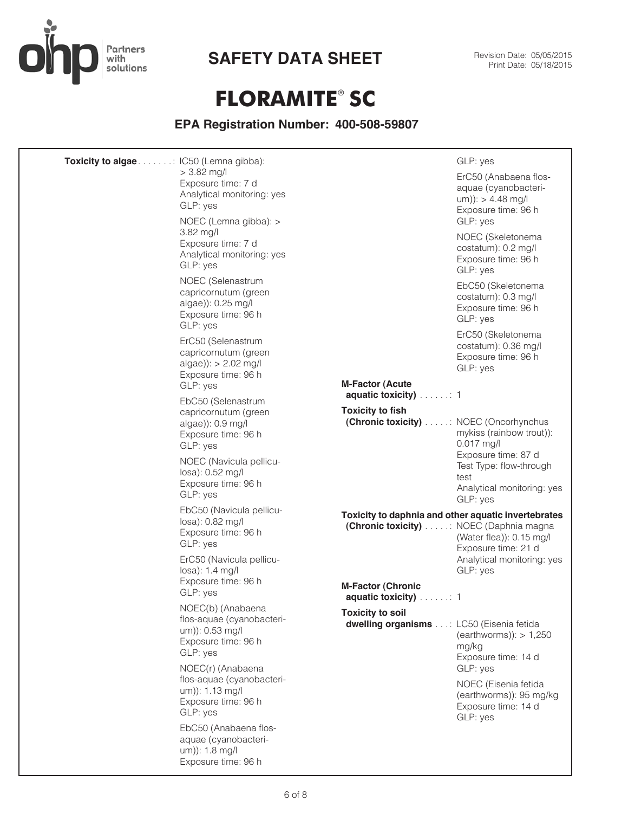

٠

# **FLORAMITE**® **SC**

| <b>Toxicity to algae</b> : IC50 (Lemna gibba): |                                                                                                         |                                                                                                 | GLP: yes                                                                                         |
|------------------------------------------------|---------------------------------------------------------------------------------------------------------|-------------------------------------------------------------------------------------------------|--------------------------------------------------------------------------------------------------|
|                                                | $> 3.82$ mg/l<br>Exposure time: 7 d<br>Analytical monitoring: yes<br>GLP: yes                           |                                                                                                 | ErC50 (Anabaena flos-<br>aquae (cyanobacteri-<br>$um)): > 4.48$ mg/l<br>Exposure time: 96 h      |
|                                                | NOEC (Lemna gibba): ><br>$3.82$ mg/l<br>Exposure time: 7 d<br>Analytical monitoring: yes<br>GLP: yes    |                                                                                                 | GLP: yes<br>NOEC (Skeletonema<br>costatum): 0.2 mg/l<br>Exposure time: 96 h<br>GLP: yes          |
|                                                | NOEC (Selenastrum<br>capricornutum (green<br>algae)): 0.25 mg/l<br>Exposure time: 96 h<br>GLP: yes      |                                                                                                 | EbC50 (Skeletonema<br>costatum): 0.3 mg/l<br>Exposure time: 96 h<br>GLP: yes                     |
|                                                | ErC50 (Selenastrum<br>capricornutum (green<br>$algae$ ): > 2.02 mg/l<br>Exposure time: 96 h<br>GLP: yes | <b>M-Factor (Acute</b>                                                                          | ErC50 (Skeletonema<br>costatum): 0.36 mg/l<br>Exposure time: 96 h<br>GLP: yes                    |
|                                                | EbC50 (Selenastrum                                                                                      | aquatic toxicity) 1                                                                             |                                                                                                  |
|                                                | capricornutum (green<br>algae)): 0.9 mg/l<br>Exposure time: 96 h<br>GLP: yes                            | <b>Toxicity to fish</b><br>(Chronic toxicity) : NOEC (Oncorhynchus                              | mykiss (rainbow trout)):<br>$0.017$ mg/l                                                         |
|                                                | NOEC (Navicula pellicu-<br>losa): 0.52 mg/l<br>Exposure time: 96 h<br>GLP: yes                          |                                                                                                 | Exposure time: 87 d<br>Test Type: flow-through<br>test<br>Analytical monitoring: yes<br>GLP: yes |
|                                                | EbC50 (Navicula pellicu-<br>losa): 0.82 mg/l<br>Exposure time: 96 h<br>GLP: yes                         | Toxicity to daphnia and other aquatic invertebrates<br>(Chronic toxicity) : NOEC (Daphnia magna | (Water flea)): 0.15 mg/l<br>Exposure time: 21 d                                                  |
|                                                | ErC50 (Navicula pellicu-<br>losa): 1.4 mg/l<br>Exposure time: 96 h                                      | <b>M-Factor (Chronic</b>                                                                        | Analytical monitoring: yes<br>GLP: yes                                                           |
|                                                | GLP: yes                                                                                                | aquatic toxicity) : 1                                                                           |                                                                                                  |
|                                                | NOEC(b) (Anabaena<br>flos-aquae (cyanobacteri-<br>um)): 0.53 mg/l<br>Exposure time: 96 h<br>GLP: yes    | <b>Toxicity to soil</b><br>dwelling organisms: LC50 (Eisenia fetida                             | $(earthworms))$ : > 1,250<br>mg/kg<br>Exposure time: 14 d                                        |
|                                                | NOEC(r) (Anabaena<br>flos-aquae (cyanobacteri-<br>um)): 1.13 mg/l<br>Exposure time: 96 h<br>GLP: yes    |                                                                                                 | GLP: yes<br>NOEC (Eisenia fetida<br>(earthworms)): 95 mg/kg<br>Exposure time: 14 d<br>GLP: yes   |
|                                                | EbC50 (Anabaena flos-<br>aquae (cyanobacteri-<br>um)): 1.8 mg/l<br>Exposure time: 96 h                  |                                                                                                 |                                                                                                  |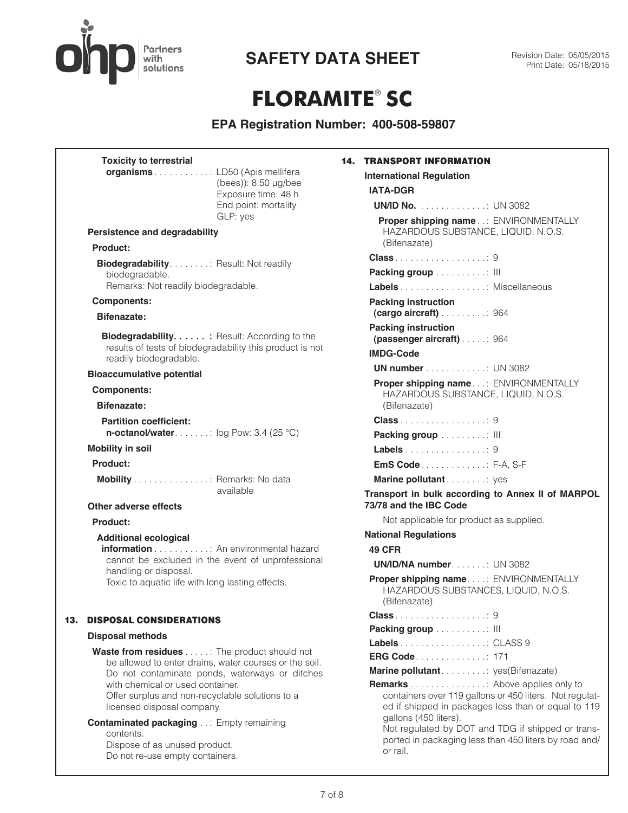

# **FLORAMITE**® **SC**

| <b>International Regulation</b><br>(bees)): 8.50 µg/bee<br><b>IATA-DGR</b><br>Exposure time: 48 h<br>End point: mortality<br><b>UN/ID No.</b> UN 3082<br>GLP: yes<br>Proper shipping name ENVIRONMENTALLY<br>HAZARDOUS SUBSTANCE, LIQUID, N.O.S.<br><b>Persistence and degradability</b><br>(Bifenazate)<br>Product:<br><b>Biodegradability.</b> : Result: Not readily<br>Packing group III<br>biodegradable.<br>Remarks: Not readily biodegradable.<br>Labels Miscellaneous<br><b>Components:</b><br><b>Packing instruction</b><br>Bifenazate:<br><b>Packing instruction</b><br><b>Biodegradability</b> : Result: According to the<br>(passenger aircraft) 964<br>results of tests of biodegradability this product is not<br><b>IMDG-Code</b><br>readily biodegradable.<br><b>UN number</b> UN 3082<br><b>Bioaccumulative potential</b><br>Proper shipping name: ENVIRONMENTALLY<br><b>Components:</b><br>HAZARDOUS SUBSTANCE, LIQUID, N.O.S.<br>Bifenazate:<br>(Bifenazate)<br><b>Class</b> 9<br><b>Partition coefficient:</b><br><b>n-octanol/water</b> $\ldots$ is log Pow: 3.4 (25 °C)<br>Packing group : III<br><b>Mobility in soil</b><br>Labels 9<br><b>EmS Code</b> . F-A, S-F<br>Product:<br>Mobility : Remarks: No data<br>Marine pollutant yes<br>available<br>Transport in bulk according to Annex II of MARPOL<br>73/78 and the IBC Code<br>Other adverse effects<br>Not applicable for product as supplied.<br><b>Product:</b><br><b>National Regulations</b><br><b>Additional ecological</b><br><b>information</b> An environmental hazard<br><b>49 CFR</b><br>cannot be excluded in the event of unprofessional<br><b>UN/ID/NA number UN 3082</b><br>handling or disposal.<br>Proper shipping name: ENVIRONMENTALLY<br>Toxic to aquatic life with long lasting effects.<br>HAZARDOUS SUBSTANCES, LIQUID, N.O.S.<br>(Bifenazate)<br><b>DISPOSAL CONSIDERATIONS</b><br>13.<br>Packing group : III<br><b>Disposal methods</b><br>Labels CLASS 9<br><b>Waste from residues</b> The product should not<br>ERG Code 171<br>be allowed to enter drains, water courses or the soil.<br>Marine pollutant yes(Bifenazate)<br>Do not contaminate ponds, waterways or ditches<br>with chemical or used container.<br><b>Remarks</b> Above applies only to<br>Offer surplus and non-recyclable solutions to a<br>containers over 119 gallons or 450 liters. Not regulat-<br>licensed disposal company.<br>ed if shipped in packages less than or equal to 119<br>gallons (450 liters).<br><b>Contaminated packaging: Empty remaining</b><br>Not regulated by DOT and TDG if shipped or trans-<br>contents.<br>ported in packaging less than 450 liters by road and/<br>Dispose of as unused product.<br>or rail.<br>Do not re-use empty containers. |  | <b>Toxicity to terrestrial</b>  | <b>14. TRANSPORT INFORMATION</b> |
|----------------------------------------------------------------------------------------------------------------------------------------------------------------------------------------------------------------------------------------------------------------------------------------------------------------------------------------------------------------------------------------------------------------------------------------------------------------------------------------------------------------------------------------------------------------------------------------------------------------------------------------------------------------------------------------------------------------------------------------------------------------------------------------------------------------------------------------------------------------------------------------------------------------------------------------------------------------------------------------------------------------------------------------------------------------------------------------------------------------------------------------------------------------------------------------------------------------------------------------------------------------------------------------------------------------------------------------------------------------------------------------------------------------------------------------------------------------------------------------------------------------------------------------------------------------------------------------------------------------------------------------------------------------------------------------------------------------------------------------------------------------------------------------------------------------------------------------------------------------------------------------------------------------------------------------------------------------------------------------------------------------------------------------------------------------------------------------------------------------------------------------------------------------------------------------------------------------------------------------------------------------------------------------------------------------------------------------------------------------------------------------------------------------------------------------------------------------------------------------------------------------------------------------------------------------------------------------------------------------------------------------------------------------------------------------------------------------------------------------------------------|--|---------------------------------|----------------------------------|
|                                                                                                                                                                                                                                                                                                                                                                                                                                                                                                                                                                                                                                                                                                                                                                                                                                                                                                                                                                                                                                                                                                                                                                                                                                                                                                                                                                                                                                                                                                                                                                                                                                                                                                                                                                                                                                                                                                                                                                                                                                                                                                                                                                                                                                                                                                                                                                                                                                                                                                                                                                                                                                                                                                                                                          |  | organisms: LD50 (Apis mellifera |                                  |
|                                                                                                                                                                                                                                                                                                                                                                                                                                                                                                                                                                                                                                                                                                                                                                                                                                                                                                                                                                                                                                                                                                                                                                                                                                                                                                                                                                                                                                                                                                                                                                                                                                                                                                                                                                                                                                                                                                                                                                                                                                                                                                                                                                                                                                                                                                                                                                                                                                                                                                                                                                                                                                                                                                                                                          |  |                                 |                                  |
|                                                                                                                                                                                                                                                                                                                                                                                                                                                                                                                                                                                                                                                                                                                                                                                                                                                                                                                                                                                                                                                                                                                                                                                                                                                                                                                                                                                                                                                                                                                                                                                                                                                                                                                                                                                                                                                                                                                                                                                                                                                                                                                                                                                                                                                                                                                                                                                                                                                                                                                                                                                                                                                                                                                                                          |  |                                 |                                  |
|                                                                                                                                                                                                                                                                                                                                                                                                                                                                                                                                                                                                                                                                                                                                                                                                                                                                                                                                                                                                                                                                                                                                                                                                                                                                                                                                                                                                                                                                                                                                                                                                                                                                                                                                                                                                                                                                                                                                                                                                                                                                                                                                                                                                                                                                                                                                                                                                                                                                                                                                                                                                                                                                                                                                                          |  |                                 |                                  |
|                                                                                                                                                                                                                                                                                                                                                                                                                                                                                                                                                                                                                                                                                                                                                                                                                                                                                                                                                                                                                                                                                                                                                                                                                                                                                                                                                                                                                                                                                                                                                                                                                                                                                                                                                                                                                                                                                                                                                                                                                                                                                                                                                                                                                                                                                                                                                                                                                                                                                                                                                                                                                                                                                                                                                          |  |                                 |                                  |
|                                                                                                                                                                                                                                                                                                                                                                                                                                                                                                                                                                                                                                                                                                                                                                                                                                                                                                                                                                                                                                                                                                                                                                                                                                                                                                                                                                                                                                                                                                                                                                                                                                                                                                                                                                                                                                                                                                                                                                                                                                                                                                                                                                                                                                                                                                                                                                                                                                                                                                                                                                                                                                                                                                                                                          |  |                                 |                                  |
|                                                                                                                                                                                                                                                                                                                                                                                                                                                                                                                                                                                                                                                                                                                                                                                                                                                                                                                                                                                                                                                                                                                                                                                                                                                                                                                                                                                                                                                                                                                                                                                                                                                                                                                                                                                                                                                                                                                                                                                                                                                                                                                                                                                                                                                                                                                                                                                                                                                                                                                                                                                                                                                                                                                                                          |  |                                 |                                  |
|                                                                                                                                                                                                                                                                                                                                                                                                                                                                                                                                                                                                                                                                                                                                                                                                                                                                                                                                                                                                                                                                                                                                                                                                                                                                                                                                                                                                                                                                                                                                                                                                                                                                                                                                                                                                                                                                                                                                                                                                                                                                                                                                                                                                                                                                                                                                                                                                                                                                                                                                                                                                                                                                                                                                                          |  |                                 |                                  |
|                                                                                                                                                                                                                                                                                                                                                                                                                                                                                                                                                                                                                                                                                                                                                                                                                                                                                                                                                                                                                                                                                                                                                                                                                                                                                                                                                                                                                                                                                                                                                                                                                                                                                                                                                                                                                                                                                                                                                                                                                                                                                                                                                                                                                                                                                                                                                                                                                                                                                                                                                                                                                                                                                                                                                          |  |                                 |                                  |
|                                                                                                                                                                                                                                                                                                                                                                                                                                                                                                                                                                                                                                                                                                                                                                                                                                                                                                                                                                                                                                                                                                                                                                                                                                                                                                                                                                                                                                                                                                                                                                                                                                                                                                                                                                                                                                                                                                                                                                                                                                                                                                                                                                                                                                                                                                                                                                                                                                                                                                                                                                                                                                                                                                                                                          |  |                                 |                                  |
|                                                                                                                                                                                                                                                                                                                                                                                                                                                                                                                                                                                                                                                                                                                                                                                                                                                                                                                                                                                                                                                                                                                                                                                                                                                                                                                                                                                                                                                                                                                                                                                                                                                                                                                                                                                                                                                                                                                                                                                                                                                                                                                                                                                                                                                                                                                                                                                                                                                                                                                                                                                                                                                                                                                                                          |  |                                 |                                  |
|                                                                                                                                                                                                                                                                                                                                                                                                                                                                                                                                                                                                                                                                                                                                                                                                                                                                                                                                                                                                                                                                                                                                                                                                                                                                                                                                                                                                                                                                                                                                                                                                                                                                                                                                                                                                                                                                                                                                                                                                                                                                                                                                                                                                                                                                                                                                                                                                                                                                                                                                                                                                                                                                                                                                                          |  |                                 |                                  |
|                                                                                                                                                                                                                                                                                                                                                                                                                                                                                                                                                                                                                                                                                                                                                                                                                                                                                                                                                                                                                                                                                                                                                                                                                                                                                                                                                                                                                                                                                                                                                                                                                                                                                                                                                                                                                                                                                                                                                                                                                                                                                                                                                                                                                                                                                                                                                                                                                                                                                                                                                                                                                                                                                                                                                          |  |                                 |                                  |
|                                                                                                                                                                                                                                                                                                                                                                                                                                                                                                                                                                                                                                                                                                                                                                                                                                                                                                                                                                                                                                                                                                                                                                                                                                                                                                                                                                                                                                                                                                                                                                                                                                                                                                                                                                                                                                                                                                                                                                                                                                                                                                                                                                                                                                                                                                                                                                                                                                                                                                                                                                                                                                                                                                                                                          |  |                                 |                                  |
|                                                                                                                                                                                                                                                                                                                                                                                                                                                                                                                                                                                                                                                                                                                                                                                                                                                                                                                                                                                                                                                                                                                                                                                                                                                                                                                                                                                                                                                                                                                                                                                                                                                                                                                                                                                                                                                                                                                                                                                                                                                                                                                                                                                                                                                                                                                                                                                                                                                                                                                                                                                                                                                                                                                                                          |  |                                 |                                  |
|                                                                                                                                                                                                                                                                                                                                                                                                                                                                                                                                                                                                                                                                                                                                                                                                                                                                                                                                                                                                                                                                                                                                                                                                                                                                                                                                                                                                                                                                                                                                                                                                                                                                                                                                                                                                                                                                                                                                                                                                                                                                                                                                                                                                                                                                                                                                                                                                                                                                                                                                                                                                                                                                                                                                                          |  |                                 |                                  |
|                                                                                                                                                                                                                                                                                                                                                                                                                                                                                                                                                                                                                                                                                                                                                                                                                                                                                                                                                                                                                                                                                                                                                                                                                                                                                                                                                                                                                                                                                                                                                                                                                                                                                                                                                                                                                                                                                                                                                                                                                                                                                                                                                                                                                                                                                                                                                                                                                                                                                                                                                                                                                                                                                                                                                          |  |                                 |                                  |
|                                                                                                                                                                                                                                                                                                                                                                                                                                                                                                                                                                                                                                                                                                                                                                                                                                                                                                                                                                                                                                                                                                                                                                                                                                                                                                                                                                                                                                                                                                                                                                                                                                                                                                                                                                                                                                                                                                                                                                                                                                                                                                                                                                                                                                                                                                                                                                                                                                                                                                                                                                                                                                                                                                                                                          |  |                                 |                                  |
|                                                                                                                                                                                                                                                                                                                                                                                                                                                                                                                                                                                                                                                                                                                                                                                                                                                                                                                                                                                                                                                                                                                                                                                                                                                                                                                                                                                                                                                                                                                                                                                                                                                                                                                                                                                                                                                                                                                                                                                                                                                                                                                                                                                                                                                                                                                                                                                                                                                                                                                                                                                                                                                                                                                                                          |  |                                 |                                  |
|                                                                                                                                                                                                                                                                                                                                                                                                                                                                                                                                                                                                                                                                                                                                                                                                                                                                                                                                                                                                                                                                                                                                                                                                                                                                                                                                                                                                                                                                                                                                                                                                                                                                                                                                                                                                                                                                                                                                                                                                                                                                                                                                                                                                                                                                                                                                                                                                                                                                                                                                                                                                                                                                                                                                                          |  |                                 |                                  |
|                                                                                                                                                                                                                                                                                                                                                                                                                                                                                                                                                                                                                                                                                                                                                                                                                                                                                                                                                                                                                                                                                                                                                                                                                                                                                                                                                                                                                                                                                                                                                                                                                                                                                                                                                                                                                                                                                                                                                                                                                                                                                                                                                                                                                                                                                                                                                                                                                                                                                                                                                                                                                                                                                                                                                          |  |                                 |                                  |
|                                                                                                                                                                                                                                                                                                                                                                                                                                                                                                                                                                                                                                                                                                                                                                                                                                                                                                                                                                                                                                                                                                                                                                                                                                                                                                                                                                                                                                                                                                                                                                                                                                                                                                                                                                                                                                                                                                                                                                                                                                                                                                                                                                                                                                                                                                                                                                                                                                                                                                                                                                                                                                                                                                                                                          |  |                                 |                                  |
|                                                                                                                                                                                                                                                                                                                                                                                                                                                                                                                                                                                                                                                                                                                                                                                                                                                                                                                                                                                                                                                                                                                                                                                                                                                                                                                                                                                                                                                                                                                                                                                                                                                                                                                                                                                                                                                                                                                                                                                                                                                                                                                                                                                                                                                                                                                                                                                                                                                                                                                                                                                                                                                                                                                                                          |  |                                 |                                  |
|                                                                                                                                                                                                                                                                                                                                                                                                                                                                                                                                                                                                                                                                                                                                                                                                                                                                                                                                                                                                                                                                                                                                                                                                                                                                                                                                                                                                                                                                                                                                                                                                                                                                                                                                                                                                                                                                                                                                                                                                                                                                                                                                                                                                                                                                                                                                                                                                                                                                                                                                                                                                                                                                                                                                                          |  |                                 |                                  |
|                                                                                                                                                                                                                                                                                                                                                                                                                                                                                                                                                                                                                                                                                                                                                                                                                                                                                                                                                                                                                                                                                                                                                                                                                                                                                                                                                                                                                                                                                                                                                                                                                                                                                                                                                                                                                                                                                                                                                                                                                                                                                                                                                                                                                                                                                                                                                                                                                                                                                                                                                                                                                                                                                                                                                          |  |                                 |                                  |
|                                                                                                                                                                                                                                                                                                                                                                                                                                                                                                                                                                                                                                                                                                                                                                                                                                                                                                                                                                                                                                                                                                                                                                                                                                                                                                                                                                                                                                                                                                                                                                                                                                                                                                                                                                                                                                                                                                                                                                                                                                                                                                                                                                                                                                                                                                                                                                                                                                                                                                                                                                                                                                                                                                                                                          |  |                                 |                                  |
|                                                                                                                                                                                                                                                                                                                                                                                                                                                                                                                                                                                                                                                                                                                                                                                                                                                                                                                                                                                                                                                                                                                                                                                                                                                                                                                                                                                                                                                                                                                                                                                                                                                                                                                                                                                                                                                                                                                                                                                                                                                                                                                                                                                                                                                                                                                                                                                                                                                                                                                                                                                                                                                                                                                                                          |  |                                 |                                  |
|                                                                                                                                                                                                                                                                                                                                                                                                                                                                                                                                                                                                                                                                                                                                                                                                                                                                                                                                                                                                                                                                                                                                                                                                                                                                                                                                                                                                                                                                                                                                                                                                                                                                                                                                                                                                                                                                                                                                                                                                                                                                                                                                                                                                                                                                                                                                                                                                                                                                                                                                                                                                                                                                                                                                                          |  |                                 |                                  |
|                                                                                                                                                                                                                                                                                                                                                                                                                                                                                                                                                                                                                                                                                                                                                                                                                                                                                                                                                                                                                                                                                                                                                                                                                                                                                                                                                                                                                                                                                                                                                                                                                                                                                                                                                                                                                                                                                                                                                                                                                                                                                                                                                                                                                                                                                                                                                                                                                                                                                                                                                                                                                                                                                                                                                          |  |                                 |                                  |
|                                                                                                                                                                                                                                                                                                                                                                                                                                                                                                                                                                                                                                                                                                                                                                                                                                                                                                                                                                                                                                                                                                                                                                                                                                                                                                                                                                                                                                                                                                                                                                                                                                                                                                                                                                                                                                                                                                                                                                                                                                                                                                                                                                                                                                                                                                                                                                                                                                                                                                                                                                                                                                                                                                                                                          |  |                                 |                                  |
|                                                                                                                                                                                                                                                                                                                                                                                                                                                                                                                                                                                                                                                                                                                                                                                                                                                                                                                                                                                                                                                                                                                                                                                                                                                                                                                                                                                                                                                                                                                                                                                                                                                                                                                                                                                                                                                                                                                                                                                                                                                                                                                                                                                                                                                                                                                                                                                                                                                                                                                                                                                                                                                                                                                                                          |  |                                 |                                  |
|                                                                                                                                                                                                                                                                                                                                                                                                                                                                                                                                                                                                                                                                                                                                                                                                                                                                                                                                                                                                                                                                                                                                                                                                                                                                                                                                                                                                                                                                                                                                                                                                                                                                                                                                                                                                                                                                                                                                                                                                                                                                                                                                                                                                                                                                                                                                                                                                                                                                                                                                                                                                                                                                                                                                                          |  |                                 |                                  |
|                                                                                                                                                                                                                                                                                                                                                                                                                                                                                                                                                                                                                                                                                                                                                                                                                                                                                                                                                                                                                                                                                                                                                                                                                                                                                                                                                                                                                                                                                                                                                                                                                                                                                                                                                                                                                                                                                                                                                                                                                                                                                                                                                                                                                                                                                                                                                                                                                                                                                                                                                                                                                                                                                                                                                          |  |                                 |                                  |
|                                                                                                                                                                                                                                                                                                                                                                                                                                                                                                                                                                                                                                                                                                                                                                                                                                                                                                                                                                                                                                                                                                                                                                                                                                                                                                                                                                                                                                                                                                                                                                                                                                                                                                                                                                                                                                                                                                                                                                                                                                                                                                                                                                                                                                                                                                                                                                                                                                                                                                                                                                                                                                                                                                                                                          |  |                                 |                                  |
|                                                                                                                                                                                                                                                                                                                                                                                                                                                                                                                                                                                                                                                                                                                                                                                                                                                                                                                                                                                                                                                                                                                                                                                                                                                                                                                                                                                                                                                                                                                                                                                                                                                                                                                                                                                                                                                                                                                                                                                                                                                                                                                                                                                                                                                                                                                                                                                                                                                                                                                                                                                                                                                                                                                                                          |  |                                 |                                  |
|                                                                                                                                                                                                                                                                                                                                                                                                                                                                                                                                                                                                                                                                                                                                                                                                                                                                                                                                                                                                                                                                                                                                                                                                                                                                                                                                                                                                                                                                                                                                                                                                                                                                                                                                                                                                                                                                                                                                                                                                                                                                                                                                                                                                                                                                                                                                                                                                                                                                                                                                                                                                                                                                                                                                                          |  |                                 |                                  |
|                                                                                                                                                                                                                                                                                                                                                                                                                                                                                                                                                                                                                                                                                                                                                                                                                                                                                                                                                                                                                                                                                                                                                                                                                                                                                                                                                                                                                                                                                                                                                                                                                                                                                                                                                                                                                                                                                                                                                                                                                                                                                                                                                                                                                                                                                                                                                                                                                                                                                                                                                                                                                                                                                                                                                          |  |                                 |                                  |
|                                                                                                                                                                                                                                                                                                                                                                                                                                                                                                                                                                                                                                                                                                                                                                                                                                                                                                                                                                                                                                                                                                                                                                                                                                                                                                                                                                                                                                                                                                                                                                                                                                                                                                                                                                                                                                                                                                                                                                                                                                                                                                                                                                                                                                                                                                                                                                                                                                                                                                                                                                                                                                                                                                                                                          |  |                                 |                                  |
|                                                                                                                                                                                                                                                                                                                                                                                                                                                                                                                                                                                                                                                                                                                                                                                                                                                                                                                                                                                                                                                                                                                                                                                                                                                                                                                                                                                                                                                                                                                                                                                                                                                                                                                                                                                                                                                                                                                                                                                                                                                                                                                                                                                                                                                                                                                                                                                                                                                                                                                                                                                                                                                                                                                                                          |  |                                 |                                  |